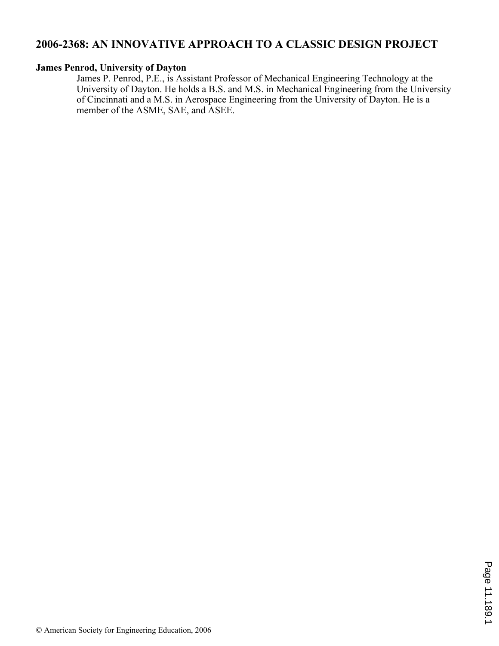# **2006-2368: AN INNOVATIVE APPROACH TO A CLASSIC DESIGN PROJECT**

#### **James Penrod, University of Dayton**

James P. Penrod, P.E., is Assistant Professor of Mechanical Engineering Technology at the University of Dayton. He holds a B.S. and M.S. in Mechanical Engineering from the University of Cincinnati and a M.S. in Aerospace Engineering from the University of Dayton. He is a member of the ASME, SAE, and ASEE.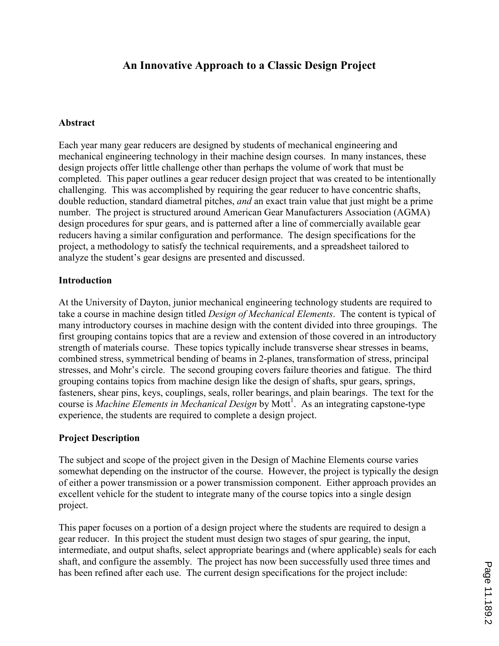# An Innovative Approach to a Classic Design Project

## **Abstract**

Each year many gear reducers are designed by students of mechanical engineering and mechanical engineering technology in their machine design courses. In many instances, these design projects offer little challenge other than perhaps the volume of work that must be completed. This paper outlines a gear reducer design project that was created to be intentionally challenging. This was accomplished by requiring the gear reducer to have concentric shafts, double reduction, standard diametral pitches, and an exact train value that just might be a prime number. The project is structured around American Gear Manufacturers Association (AGMA) design procedures for spur gears, and is patterned after a line of commercially available gear reducers having a similar configuration and performance. The design specifications for the project, a methodology to satisfy the technical requirements, and a spreadsheet tailored to analyze the student's gear designs are presented and discussed.

### **Introduction**

At the University of Dayton, junior mechanical engineering technology students are required to take a course in machine design titled *Design of Mechanical Elements*. The content is typical of many introductory courses in machine design with the content divided into three groupings. The first grouping contains topics that are a review and extension of those covered in an introductory strength of materials course. These topics typically include transverse shear stresses in beams, combined stress, symmetrical bending of beams in 2-planes, transformation of stress, principal stresses, and Mohr's circle. The second grouping covers failure theories and fatigue. The third grouping contains topics from machine design like the design of shafts, spur gears, springs, fasteners, shear pins, keys, couplings, seals, roller bearings, and plain bearings. The text for the course is *Machine Elements in Mechanical Design* by Mott<sup>1</sup>. As an integrating capstone-type experience, the students are required to complete a design project.

## Project Description

The subject and scope of the project given in the Design of Machine Elements course varies somewhat depending on the instructor of the course. However, the project is typically the design of either a power transmission or a power transmission component. Either approach provides an excellent vehicle for the student to integrate many of the course topics into a single design project.

This paper focuses on a portion of a design project where the students are required to design a gear reducer. In this project the student must design two stages of spur gearing, the input, intermediate, and output shafts, select appropriate bearings and (where applicable) seals for each shaft, and configure the assembly. The project has now been successfully used three times and has been refined after each use. The current design specifications for the project include: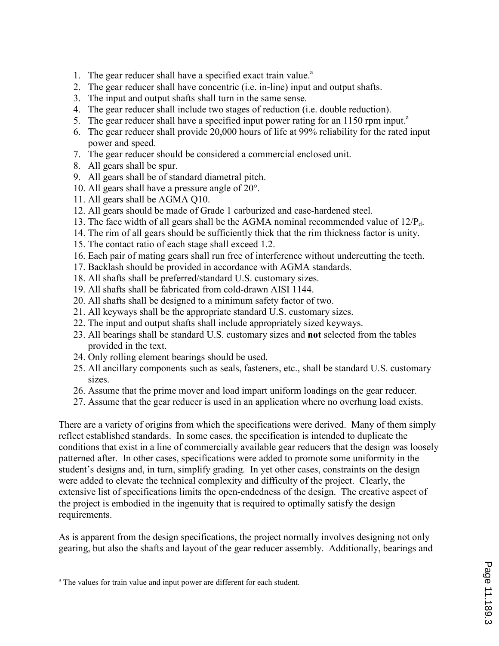- 1. The gear reducer shall have a specified exact train value.<sup>a</sup>
- 2. The gear reducer shall have concentric (i.e. in-line) input and output shafts.
- 3. The input and output shafts shall turn in the same sense.
- 4. The gear reducer shall include two stages of reduction (i.e. double reduction).
- 5. The gear reducer shall have a specified input power rating for an  $1150$  rpm input.<sup>a</sup>
- 6. The gear reducer shall provide 20,000 hours of life at 99% reliability for the rated input power and speed.
- 7. The gear reducer should be considered a commercial enclosed unit.
- 8. All gears shall be spur.
- 9. All gears shall be of standard diametral pitch.
- 10. All gears shall have a pressure angle of 20°.
- 11. All gears shall be AGMA Q10.
- 12. All gears should be made of Grade 1 carburized and case-hardened steel.
- 13. The face width of all gears shall be the AGMA nominal recommended value of  $12/P<sub>d</sub>$ .
- 14. The rim of all gears should be sufficiently thick that the rim thickness factor is unity.
- 15. The contact ratio of each stage shall exceed 1.2.
- 16. Each pair of mating gears shall run free of interference without undercutting the teeth.
- 17. Backlash should be provided in accordance with AGMA standards.
- 18. All shafts shall be preferred/standard U.S. customary sizes.
- 19. All shafts shall be fabricated from cold-drawn AISI 1144.
- 20. All shafts shall be designed to a minimum safety factor of two.
- 21. All keyways shall be the appropriate standard U.S. customary sizes.
- 22. The input and output shafts shall include appropriately sized keyways.
- 23. All bearings shall be standard U.S. customary sizes and not selected from the tables provided in the text.
- 24. Only rolling element bearings should be used.
- 25. All ancillary components such as seals, fasteners, etc., shall be standard U.S. customary sizes.
- 26. Assume that the prime mover and load impart uniform loadings on the gear reducer.
- 27. Assume that the gear reducer is used in an application where no overhung load exists.

There are a variety of origins from which the specifications were derived. Many of them simply reflect established standards. In some cases, the specification is intended to duplicate the conditions that exist in a line of commercially available gear reducers that the design was loosely patterned after. In other cases, specifications were added to promote some uniformity in the student's designs and, in turn, simplify grading. In yet other cases, constraints on the design were added to elevate the technical complexity and difficulty of the project. Clearly, the extensive list of specifications limits the open-endedness of the design. The creative aspect of the project is embodied in the ingenuity that is required to optimally satisfy the design requirements.

As is apparent from the design specifications, the project normally involves designing not only gearing, but also the shafts and layout of the gear reducer assembly. Additionally, bearings and

 $\overline{a}$ <sup>a</sup> The values for train value and input power are different for each student.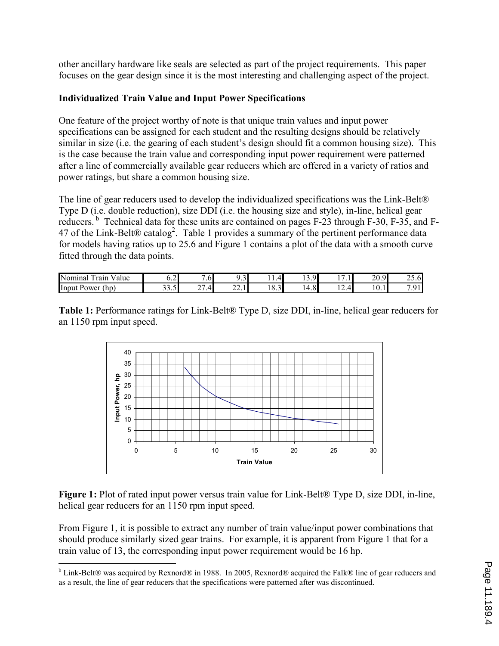other ancillary hardware like seals are selected as part of the project requirements. This paper focuses on the gear design since it is the most interesting and challenging aspect of the project.

## Individualized Train Value and Input Power Specifications

One feature of the project worthy of note is that unique train values and input power specifications can be assigned for each student and the resulting designs should be relatively similar in size (i.e. the gearing of each student's design should fit a common housing size). This is the case because the train value and corresponding input power requirement were patterned after a line of commercially available gear reducers which are offered in a variety of ratios and power ratings, but share a common housing size.

The line of gear reducers used to develop the individualized specifications was the Link-Belt® Type D (i.e. double reduction), size DDI (i.e. the housing size and style), in-line, helical gear reducers.<sup>b</sup> Technical data for these units are contained on pages F-23 through F-30, F-35, and F-47 of the Link-Belt® catalog<sup>2</sup>. Table 1 provides a summary of the pertinent performance data for models having ratios up to 25.6 and Figure 1 contains a plot of the data with a smooth curve fitted through the data points.

| Nominal<br>--<br>Value<br>rain | ⌒ ■<br>∪.∠ i                   | $\overline{\phantom{0}}$<br>.6 <sup>1</sup> | $\sim$<br>$\ddotsc$ | 4<br>. .                      | O.<br>$\overline{\phantom{a}}$<br>. .<br>$\cdot$ $\cdot$ | $\overline{\phantom{0}}$<br>.        | 20.9            | $\sim$ $\sim$<br>$25.6^{\circ}$ |
|--------------------------------|--------------------------------|---------------------------------------------|---------------------|-------------------------------|----------------------------------------------------------|--------------------------------------|-----------------|---------------------------------|
| $\ln D$<br>Power<br>Input      | $\sim$ $\sim$<br>- 1<br>JJ.J . | $\sim$<br>$\cdot$ .4<br>-                   | n n<br>44.11        | $\sim$<br>١I<br>$\mathbf{0.}$ | $\Omega$<br>4.8                                          | $\overline{\phantom{a}}$<br>⊶ ا<br>. | $\sim$<br>10.11 | 91<br>-<br>$\cdot$ $\prime$     |

Table 1: Performance ratings for Link-Belt® Type D, size DDI, in-line, helical gear reducers for an 1150 rpm input speed.



Figure 1: Plot of rated input power versus train value for Link-Belt® Type D, size DDI, in-line, helical gear reducers for an 1150 rpm input speed.

From Figure 1, it is possible to extract any number of train value/input power combinations that should produce similarly sized gear trains. For example, it is apparent from Figure 1 that for a train value of 13, the corresponding input power requirement would be 16 hp.

**b** Link-Belt® was acquired by Rexnord® in 1988. In 2005, Rexnord® acquired the Falk® line of gear reducers and **b** as a result, the line of gear reducers that the specifications were patterned after was discontinued.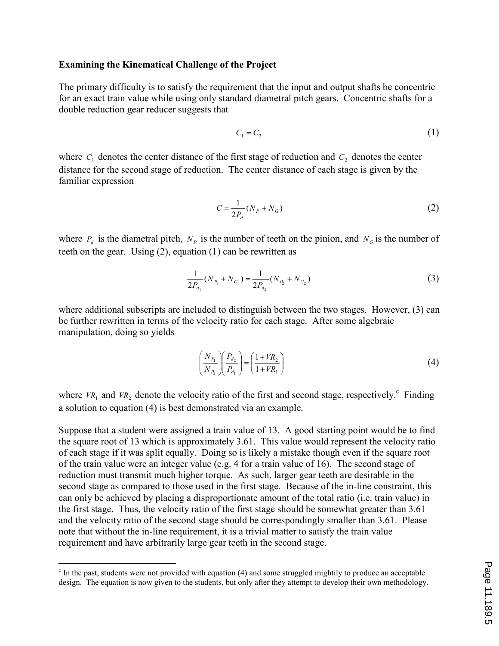#### Examining the Kinematical Challenge of the Project

The primary difficulty is to satisfy the requirement that the input and output shafts be concentric for an exact train value while using only standard diametral pitch gears. Concentric shafts for a double reduction gear reducer suggests that

$$
C_1 = C_2 \tag{1}
$$

where  $C_1$  denotes the center distance of the first stage of reduction and  $C_2$  denotes the center distance for the second stage of reduction. The center distance of each stage is given by the familiar expression

$$
C = \frac{1}{2P_d} (N_P + N_G) \tag{2}
$$

where  $P_d$  is the diametral pitch,  $N_p$  is the number of teeth on the pinion, and  $N_q$  is the number of teeth on the gear. Using (2), equation (1) can be rewritten as

$$
\frac{1}{2P_{d_1}}(N_{P_1} + N_{G_1}) = \frac{1}{2P_{d_2}}(N_{P_2} + N_{G_2})
$$
\n(3)

where additional subscripts are included to distinguish between the two stages. However, (3) can be further rewritten in terms of the velocity ratio for each stage. After some algebraic manipulation, doing so yields

$$
\left(\frac{N_{P_1}}{N_{P_2}}\right)\left(\frac{P_{d_2}}{P_{d_1}}\right) = \left(\frac{1 + VR_2}{1 + VR_1}\right)
$$
\n<sup>(4)</sup>

where  $VR_1$  and  $VR_2$  denote the velocity ratio of the first and second stage, respectively.<sup>c</sup> Finding a solution to equation (4) is best demonstrated via an example.

Suppose that a student were assigned a train value of 13. A good starting point would be to find the square root of 13 which is approximately 3.61. This value would represent the velocity ratio of each stage if it was split equally. Doing so is likely a mistake though even if the square root of the train value were an integer value (e.g. 4 for a train value of 16). The second stage of reduction must transmit much higher torque. As such, larger gear teeth are desirable in the second stage as compared to those used in the first stage. Because of the in-line constraint, this can only be achieved by placing a disproportionate amount of the total ratio (i.e. train value) in the first stage. Thus, the velocity ratio of the first stage should be somewhat greater than 3.61 and the velocity ratio of the second stage should be correspondingly smaller than 3.61. Please note that without the in-line requirement, it is a trivial matter to satisfy the train value requirement and have arbitrarily large gear teeth in the second stage.

 $\overline{a}$ 

<sup>&</sup>lt;sup>c</sup> In the past, students were not provided with equation (4) and some struggled mightily to produce an acceptable design. The equation is now given to the students, but only after they attempt to develop their own methodology.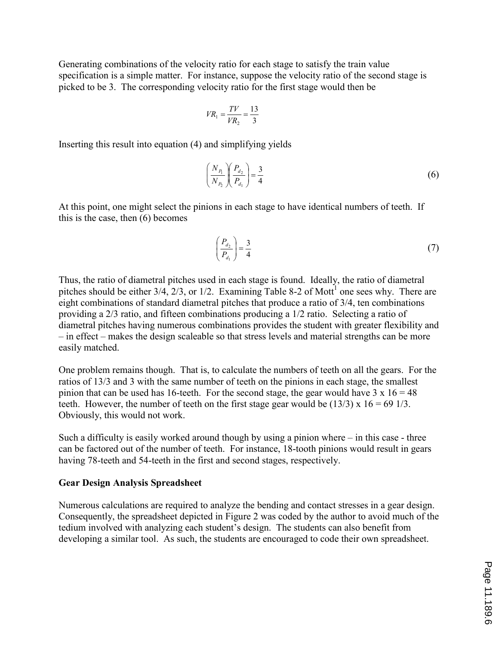Generating combinations of the velocity ratio for each stage to satisfy the train value specification is a simple matter. For instance, suppose the velocity ratio of the second stage is picked to be 3. The corresponding velocity ratio for the first stage would then be

$$
VR_1 = \frac{TV}{VR_2} = \frac{13}{3}
$$

Inserting this result into equation (4) and simplifying yields

$$
\left(\frac{N_{P_1}}{N_{P_2}}\right)\left(\frac{P_{d_2}}{P_{d_1}}\right) = \frac{3}{4}
$$
\n(6)

At this point, one might select the pinions in each stage to have identical numbers of teeth. If this is the case, then (6) becomes

$$
\left(\frac{P_{d_2}}{P_{d_1}}\right) = \frac{3}{4} \tag{7}
$$

Thus, the ratio of diametral pitches used in each stage is found. Ideally, the ratio of diametral pitches should be either  $3/4$ ,  $2/3$ , or  $1/2$ . Examining Table 8-2 of Mott<sup>1</sup> one sees why. There are eight combinations of standard diametral pitches that produce a ratio of 3/4, ten combinations providing a 2/3 ratio, and fifteen combinations producing a 1/2 ratio. Selecting a ratio of diametral pitches having numerous combinations provides the student with greater flexibility and – in effect – makes the design scaleable so that stress levels and material strengths can be more easily matched.

One problem remains though. That is, to calculate the numbers of teeth on all the gears. For the ratios of 13/3 and 3 with the same number of teeth on the pinions in each stage, the smallest pinion that can be used has 16-teeth. For the second stage, the gear would have  $3 \times 16 = 48$ teeth. However, the number of teeth on the first stage gear would be  $(13/3)$  x  $16 = 69$  1/3. Obviously, this would not work.

Such a difficulty is easily worked around though by using a pinion where – in this case - three can be factored out of the number of teeth. For instance, 18-tooth pinions would result in gears having 78-teeth and 54-teeth in the first and second stages, respectively.

#### Gear Design Analysis Spreadsheet

Numerous calculations are required to analyze the bending and contact stresses in a gear design. Consequently, the spreadsheet depicted in Figure 2 was coded by the author to avoid much of the tedium involved with analyzing each student's design. The students can also benefit from developing a similar tool. As such, the students are encouraged to code their own spreadsheet.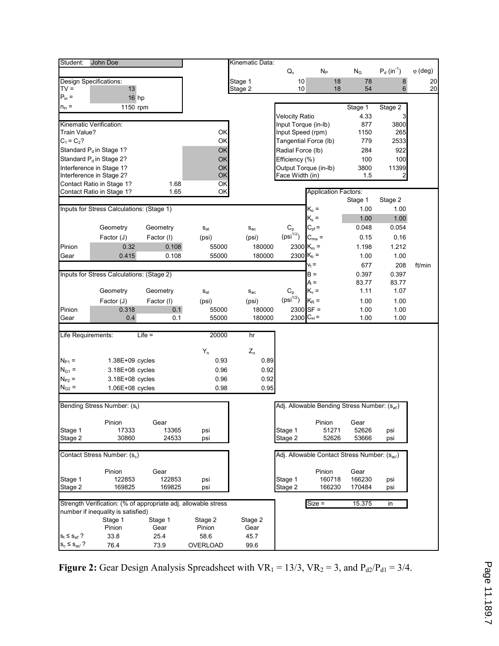| Student:                                                       | John Doe                                             |                  |                          | Kinematic Data:      |                           |                                              |                  |                           |                 |
|----------------------------------------------------------------|------------------------------------------------------|------------------|--------------------------|----------------------|---------------------------|----------------------------------------------|------------------|---------------------------|-----------------|
|                                                                |                                                      |                  |                          |                      | $\mathsf{Q}_{\mathsf{v}}$ | $N_P$                                        | $N_G$            | $P_d$ (in <sup>-1</sup> ) | $\varphi$ (deg) |
|                                                                | <b>Design Specifications:</b>                        |                  |                          | Stage 1              | 10                        | 18                                           | 78               | 8                         | 20              |
| $TV =$                                                         | 13                                                   |                  |                          | Stage 2              | 10                        | 18                                           | 54               | 6                         | 20              |
| $P_{in} =$                                                     | 16 hp                                                |                  |                          |                      |                           |                                              |                  |                           |                 |
| $n_{in} =$                                                     | 1150 rpm                                             |                  |                          |                      |                           |                                              | Stage 1          | Stage 2                   |                 |
|                                                                |                                                      |                  |                          |                      | <b>Velocity Ratio</b>     |                                              | 4.33             | 3                         |                 |
|                                                                | Kinematic Verification:                              |                  |                          |                      | Input Torque (in-Ib)      |                                              | 877              | 3800                      |                 |
| Train Value?                                                   |                                                      |                  | ОК                       |                      | Input Speed (rpm)         |                                              | 1150             | 265                       |                 |
| $C_1 = C_2?$                                                   |                                                      |                  | ОК                       |                      |                           | Tangential Force (lb)                        | 779              | 2533                      |                 |
|                                                                | Standard P <sub>d</sub> in Stage 1?                  |                  | OK                       |                      | Radial Force (lb)         |                                              | 284              | 922                       |                 |
|                                                                | Standard P <sub>d</sub> in Stage 2?                  |                  | OK                       |                      | Efficiency (%)            |                                              | 100              | 100                       |                 |
|                                                                | Interference in Stage 1?<br>Interference in Stage 2? |                  | OK<br>OK                 |                      | Face Width (in)           | Output Torque (in-lb)                        | 3800<br>1.5      | 11399<br>$\mathbf{2}$     |                 |
|                                                                | Contact Ratio in Stage 1?                            | 1.68             | OK                       |                      |                           |                                              |                  |                           |                 |
|                                                                | Contact Ratio in Stage 1?                            | 1.65             | OK                       |                      |                           | <b>Application Factors:</b>                  |                  |                           |                 |
|                                                                |                                                      |                  |                          |                      |                           |                                              | Stage 1          | Stage 2                   |                 |
|                                                                | Inputs for Stress Calculations: (Stage 1)            |                  |                          |                      |                           | $K_{o} =$                                    | 1.00             | 1.00                      |                 |
|                                                                |                                                      |                  |                          |                      |                           | $K_s =$                                      | 1.00             | 1.00                      |                 |
|                                                                | Geometry                                             | Geometry         | $\mathbf{s}_{\text{at}}$ | $S_{ac}$             | $C_{p}$                   | $C_{\text{pf}} =$                            | 0.048            | 0.054                     |                 |
|                                                                | Factor (J)                                           | Factor (I)       | (psi)                    | (psi)                | $(psi^{1/2})$             | $C_{ma} =$                                   | 0.15             | 0.16                      |                 |
| Pinion                                                         | 0.32                                                 | 0.108            | 55000                    | 180000               |                           | 2300 K <sub>m</sub> =                        | 1.198            | 1.212                     |                 |
| Gear                                                           | 0.415                                                | 0.108            | 55000                    | 180000               |                           | 2300 K <sub>b</sub> =                        | 1.00             | 1.00                      |                 |
|                                                                |                                                      |                  |                          |                      |                           | $v_t =$                                      | 677              | 208                       | ft/min          |
|                                                                | Inputs for Stress Calculations: (Stage 2)            |                  |                          |                      |                           | B =                                          | 0.397            | 0.397                     |                 |
|                                                                |                                                      |                  |                          |                      |                           | A =                                          | 83.77            | 83.77                     |                 |
|                                                                | Geometry                                             | Geometry         | $S_{at}$                 | $S_{ac}$             | $C_{p}$                   | $K_v =$                                      | 1.11             | 1.07                      |                 |
|                                                                | Factor (J)                                           | Factor (I)       | (psi)                    | (psi)                | $(psi^{1/2})$             | $K_R =$                                      | 1.00             | 1.00                      |                 |
| Pinion                                                         | 0.318                                                | 0.1              | 55000                    | 180000               |                           | $2300$ SF =                                  | 1.00             | 1.00                      |                 |
| Gear                                                           | 0.4                                                  | 0.1              | 55000                    | 180000               |                           | 2300 $C_H =$                                 | 1.00             | 1.00                      |                 |
|                                                                |                                                      |                  |                          |                      |                           |                                              |                  |                           |                 |
| Life Requirements:                                             |                                                      | $Life =$         | 20000                    | hr                   |                           |                                              |                  |                           |                 |
|                                                                |                                                      |                  | $\mathsf{Y}_\mathsf{n}$  | $Z_{\boldsymbol{n}}$ |                           |                                              |                  |                           |                 |
| $N_{P1} =$                                                     | $1.38E+09$ cycles                                    |                  | 0.93                     | 0.89                 |                           |                                              |                  |                           |                 |
| $N_{G1} =$                                                     | 3.18E+08 cycles                                      |                  | 0.96                     | 0.92                 |                           |                                              |                  |                           |                 |
| $N_{P2}$ =                                                     | 3.18E+08 cycles                                      |                  | 0.96                     | 0.92                 |                           |                                              |                  |                           |                 |
| $N_{G2}$ =                                                     | 1.06E+08 cycles                                      |                  | 0.98                     | 0.95                 |                           |                                              |                  |                           |                 |
|                                                                |                                                      |                  |                          |                      |                           |                                              |                  |                           |                 |
|                                                                | Bending Stress Number: (St)                          |                  |                          |                      |                           | Adj. Allowable Bending Stress Number: (Sat)  |                  |                           |                 |
|                                                                |                                                      |                  |                          |                      |                           |                                              |                  |                           |                 |
|                                                                | Pinion                                               | Gear             |                          |                      |                           | Pinion                                       | Gear             |                           |                 |
| Stage 1<br>Stage 2                                             | 17333<br>30860                                       | 13365<br>24533   | psi<br>psi               |                      | Stage 1<br>Stage 2        | 51271<br>52626                               | 52626<br>53666   | psi<br>psi                |                 |
|                                                                |                                                      |                  |                          |                      |                           |                                              |                  |                           |                 |
| Contact Stress Number: (s <sub>c</sub> )                       |                                                      |                  |                          |                      |                           | Adj. Allowable Contact Stress Number: (Sac') |                  |                           |                 |
|                                                                |                                                      |                  |                          |                      |                           |                                              |                  |                           |                 |
|                                                                | Pinion                                               | Gear             |                          |                      |                           | Pinion                                       | Gear             |                           |                 |
| Stage 1<br>Stage 2                                             | 122853<br>169825                                     | 122853<br>169825 | psi<br>psi               |                      | Stage 1<br>Stage 2        | 160718<br>166230                             | 166230<br>170484 | psi                       |                 |
|                                                                |                                                      |                  |                          |                      |                           |                                              |                  | psi                       |                 |
| Strength Verification: (% of appropriate adj. allowable stress |                                                      |                  |                          |                      | $Size =$                  | 15.375                                       | in               |                           |                 |
|                                                                | number if inequality is satisfied)                   |                  |                          |                      |                           |                                              |                  |                           |                 |
|                                                                | Stage 1                                              | Stage 1          | Stage 2                  | Stage 2              |                           |                                              |                  |                           |                 |
|                                                                | Pinion<br>33.8                                       | Gear<br>25.4     | Pinion<br>58.6           | Gear<br>45.7         |                           |                                              |                  |                           |                 |
| $s_t \leq s_{at}$ ?<br>$s_c \leq s_{ac}$ ?                     | 76.4                                                 | 73.9             | OVERLOAD                 | 99.6                 |                           |                                              |                  |                           |                 |
|                                                                |                                                      |                  |                          |                      |                           |                                              |                  |                           |                 |

Figure 2: Gear Design Analysis Spreadsheet with  $VR_1 = 13/3$ ,  $VR_2 = 3$ , and  $P_{d2}/P_{d1} = 3/4$ .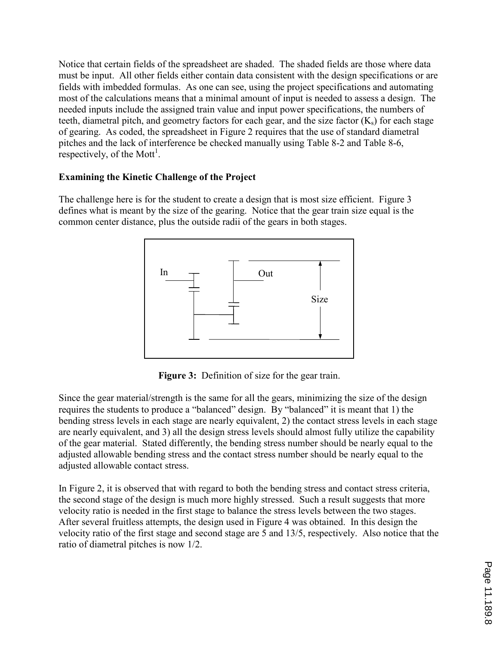Notice that certain fields of the spreadsheet are shaded. The shaded fields are those where data must be input. All other fields either contain data consistent with the design specifications or are fields with imbedded formulas. As one can see, using the project specifications and automating most of the calculations means that a minimal amount of input is needed to assess a design. The needed inputs include the assigned train value and input power specifications, the numbers of teeth, diametral pitch, and geometry factors for each gear, and the size factor  $(K_s)$  for each stage of gearing. As coded, the spreadsheet in Figure 2 requires that the use of standard diametral pitches and the lack of interference be checked manually using Table 8-2 and Table 8-6, respectively, of the Mott<sup>1</sup>.

## Examining the Kinetic Challenge of the Project

The challenge here is for the student to create a design that is most size efficient. Figure 3 defines what is meant by the size of the gearing. Notice that the gear train size equal is the common center distance, plus the outside radii of the gears in both stages.



Figure 3: Definition of size for the gear train.

Since the gear material/strength is the same for all the gears, minimizing the size of the design requires the students to produce a "balanced" design. By "balanced" it is meant that 1) the bending stress levels in each stage are nearly equivalent, 2) the contact stress levels in each stage are nearly equivalent, and 3) all the design stress levels should almost fully utilize the capability of the gear material. Stated differently, the bending stress number should be nearly equal to the adjusted allowable bending stress and the contact stress number should be nearly equal to the adjusted allowable contact stress.

In Figure 2, it is observed that with regard to both the bending stress and contact stress criteria, the second stage of the design is much more highly stressed. Such a result suggests that more velocity ratio is needed in the first stage to balance the stress levels between the two stages. After several fruitless attempts, the design used in Figure 4 was obtained. In this design the velocity ratio of the first stage and second stage are 5 and 13/5, respectively. Also notice that the ratio of diametral pitches is now 1/2.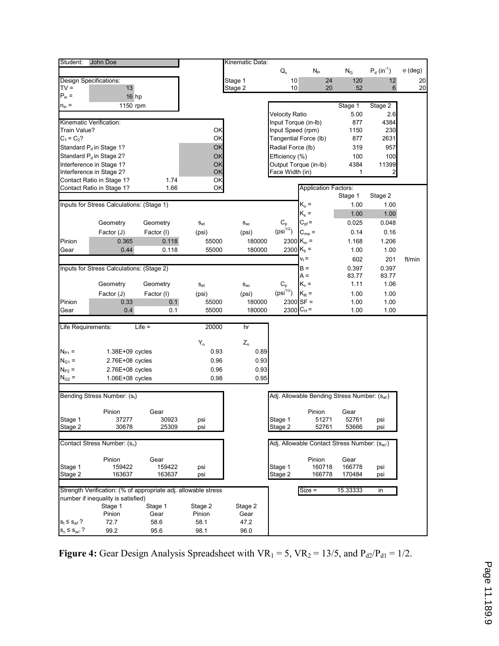| Student:                                 | John Doe                                                        |            |          | Kinematic Data:      |                       |                                                          |             |                 |                 |
|------------------------------------------|-----------------------------------------------------------------|------------|----------|----------------------|-----------------------|----------------------------------------------------------|-------------|-----------------|-----------------|
|                                          |                                                                 |            |          |                      | $Q_v$                 | $N_P$                                                    | $N_G$       | $P_d (in^{-1})$ | $\varphi$ (deg) |
|                                          | Design Specifications:                                          |            |          | Stage 1              | 10                    | 24                                                       | 120         | 12              | 20              |
| $TV =$                                   | 13                                                              |            |          | Stage 2              | 10                    | 20                                                       | 52          | 6               | 20              |
| $P_{in} =$                               | 16 <sub>hp</sub>                                                |            |          |                      |                       |                                                          |             |                 |                 |
| $n_{in} =$                               | 1150 rpm                                                        |            |          |                      |                       |                                                          | Stage 1     | Stage 2         |                 |
|                                          |                                                                 |            |          |                      | <b>Velocity Ratio</b> |                                                          | 5.00        | 2.6             |                 |
| Kinematic Verification:                  |                                                                 |            |          |                      | Input Torque (in-lb)  |                                                          | 877         | 4384            |                 |
| Train Value?                             |                                                                 | OK         |          | Input Speed (rpm)    |                       | 1150                                                     | 230         |                 |                 |
|                                          | $C_1 = C_2?$                                                    |            | ΟK       |                      |                       | Tangential Force (lb)                                    | 877         | 2631            |                 |
|                                          | Standard P <sub>d</sub> in Stage 1?                             |            | OK       |                      | Radial Force (lb)     |                                                          | 319         | 957             |                 |
|                                          | Standard P <sub>d</sub> in Stage 2?<br>Interference in Stage 1? |            | OK<br>OK |                      | Efficiency (%)        | Output Torque (in-lb)                                    | 100<br>4384 | 100<br>11399    |                 |
|                                          | Interference in Stage 2?                                        |            | OK       |                      | Face Width (in)       |                                                          | 1           | 2               |                 |
|                                          | Contact Ratio in Stage 1?                                       | 1.74       | OK       |                      |                       |                                                          |             |                 |                 |
|                                          | Contact Ratio in Stage 1?                                       | 1.66       | ΟK       |                      |                       | <b>Application Factors:</b>                              |             |                 |                 |
|                                          |                                                                 |            |          |                      |                       |                                                          | Stage 1     | Stage 2         |                 |
|                                          | Inputs for Stress Calculations: (Stage 1)                       |            |          |                      |                       | $K_{o} =$                                                | 1.00        | 1.00            |                 |
|                                          |                                                                 |            |          |                      |                       | $K_s =$                                                  | 1.00        | 1.00            |                 |
|                                          | Geometry                                                        | Geometry   | $S_{at}$ | $S_{ac}$             | $C_{p}$               | $C_{\text{pf}} =$                                        | 0.025       | 0.048           |                 |
|                                          | Factor (J)                                                      | Factor (I) | (psi)    | (psi)                | $(psi^{1/2})$         | $C_{ma} =$                                               | 0.14        | 0.16            |                 |
| Pinion                                   | 0.365                                                           | 0.118      | 55000    | 180000               | 2300 K <sub>m</sub> = |                                                          | 1.168       | 1.206           |                 |
| Gear                                     | 0.44                                                            | 0.118      | 55000    | 180000               | 2300 K <sub>b</sub> = |                                                          | 1.00        | 1.00            |                 |
|                                          |                                                                 |            |          |                      |                       | $V_t =$                                                  | 602         | 201             | ft/min          |
|                                          | Inputs for Stress Calculations: (Stage 2)                       |            |          |                      |                       | B =                                                      | 0.397       | 0.397           |                 |
|                                          |                                                                 |            |          |                      |                       | A =                                                      | 83.77       | 83.77           |                 |
|                                          | Geometry                                                        | Geometry   | $S_{at}$ | $S_{ac}$             | $C_p$                 | $K_v =$                                                  | 1.11        | 1.06            |                 |
|                                          | Factor (J)                                                      | Factor (I) | (psi)    | (psi)                | $(psi^{1/2})$         | $K_R =$                                                  | 1.00        | 1.00            |                 |
| Pinion                                   | 0.33                                                            | 0.1        | 55000    | 180000               |                       | $2300$ SF =                                              | 1.00        | 1.00            |                 |
| Gear                                     | 0.4                                                             | 0.1        | 55000    | 180000               | 2300 $C_H =$          |                                                          | 1.00        | 1.00            |                 |
|                                          |                                                                 |            |          |                      |                       |                                                          |             |                 |                 |
| Life Requirements:                       |                                                                 | $Life =$   | 20000    | hr                   |                       |                                                          |             |                 |                 |
|                                          |                                                                 |            | $Y_n$    | $Z_{\boldsymbol{n}}$ |                       |                                                          |             |                 |                 |
| $N_{P1}$ =                               | $1.38E+09$ cycles                                               |            | 0.93     | 0.89                 |                       |                                                          |             |                 |                 |
| $N_{G1} =$                               | 2.76E+08 cycles                                                 |            | 0.96     | 0.93                 |                       |                                                          |             |                 |                 |
| $N_{P2} =$                               | 2.76E+08 cycles                                                 |            | 0.96     | 0.93                 |                       |                                                          |             |                 |                 |
| $N_{G2}$ =                               | 1.06E+08 cycles                                                 |            | 0.98     | 0.95                 |                       |                                                          |             |                 |                 |
|                                          |                                                                 |            |          |                      |                       |                                                          |             |                 |                 |
|                                          | Bending Stress Number: (st)                                     |            |          |                      |                       | Adj. Allowable Bending Stress Number: (S <sub>at</sub> ) |             |                 |                 |
|                                          | Pinion                                                          | Gear       |          |                      |                       | Pinion                                                   | Gear        |                 |                 |
| Stage 1                                  | 37277                                                           | 30923      | psi      |                      | Stage 1               | 51271                                                    | 52761       | psi             |                 |
| Stage 2                                  | 30678                                                           | 25309      | psi      |                      | Stage 2               | 52761                                                    | 53666       | psi             |                 |
|                                          |                                                                 |            |          |                      |                       |                                                          |             |                 |                 |
| Contact Stress Number: (s <sub>c</sub> ) |                                                                 |            |          |                      |                       | Adj. Allowable Contact Stress Number: (Sac)              |             |                 |                 |
|                                          | Pinion                                                          | Gear       |          |                      |                       | Pinion                                                   | Gear        |                 |                 |
| Stage 1                                  | 159422                                                          | 159422     | psi      |                      | Stage 1               | 160718                                                   | 166778      | psi             |                 |
| Stage 2                                  | 163637                                                          | 163637     | psi      |                      | Stage 2               | 166778                                                   | 170484      | psi             |                 |
|                                          | Strength Verification: (% of appropriate adj. allowable stress  |            |          |                      |                       | $Size =$                                                 | 15.33333    | in              |                 |
|                                          | number if inequality is satisfied)                              |            |          |                      |                       |                                                          |             |                 |                 |
|                                          | Stage 1                                                         | Stage 1    | Stage 2  | Stage 2              |                       |                                                          |             |                 |                 |
|                                          | Pinion                                                          | Gear       | Pinion   | Gear                 |                       |                                                          |             |                 |                 |
| $S_t \leq S_{at}$ ?                      | 72.7                                                            | 58.6       | 58.1     | 47.2                 |                       |                                                          |             |                 |                 |
| $s_c \leq s_{ac}$ ?                      | 99.2                                                            | 95.6       | 98.1     | 96.0                 |                       |                                                          |             |                 |                 |

Figure 4: Gear Design Analysis Spreadsheet with  $VR_1 = 5$ ,  $VR_2 = 13/5$ , and  $P_{d2}/P_{d1} = 1/2$ .